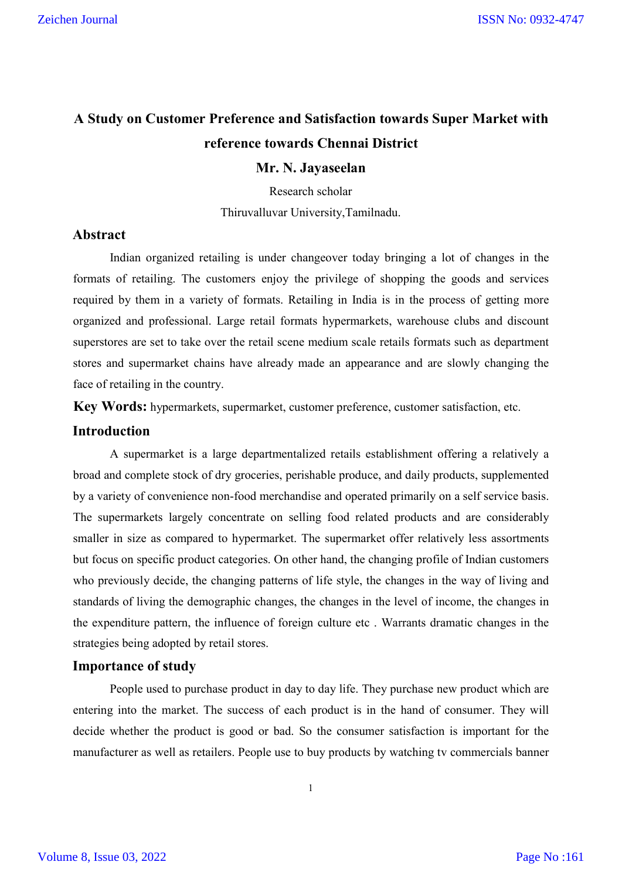# **A Study on Customer Preference and Satisfaction towards Super Market with reference towards Chennai District**

#### **Mr. N. Jayaseelan**

Research scholar

Thiruvalluvar University,Tamilnadu.

#### **Abstract**

Indian organized retailing is under changeover today bringing a lot of changes in the formats of retailing. The customers enjoy the privilege of shopping the goods and services required by them in a variety of formats. Retailing in India is in the process of getting more organized and professional. Large retail formats hypermarkets, warehouse clubs and discount superstores are set to take over the retail scene medium scale retails formats such as department stores and supermarket chains have already made an appearance and are slowly changing the face of retailing in the country.

**Key Words:** hypermarkets, supermarket, customer preference, customer satisfaction, etc.

## **Introduction**

A supermarket is a large departmentalized retails establishment offering a relatively a broad and complete stock of dry groceries, perishable produce, and daily products, supplemented by a variety of convenience non-food merchandise and operated primarily on a self service basis. The supermarkets largely concentrate on selling food related products and are considerably smaller in size as compared to hypermarket. The supermarket offer relatively less assortments but focus on specific product categories. On other hand, the changing profile of Indian customers who previously decide, the changing patterns of life style, the changes in the way of living and standards of living the demographic changes, the changes in the level of income, the changes in the expenditure pattern, the influence of foreign culture etc . Warrants dramatic changes in the strategies being adopted by retail stores.

### **Importance of study**

People used to purchase product in day to day life. They purchase new product which are entering into the market. The success of each product is in the hand of consumer. They will decide whether the product is good or bad. So the consumer satisfaction is important for the manufacturer as well as retailers. People use to buy products by watching tv commercials banner

1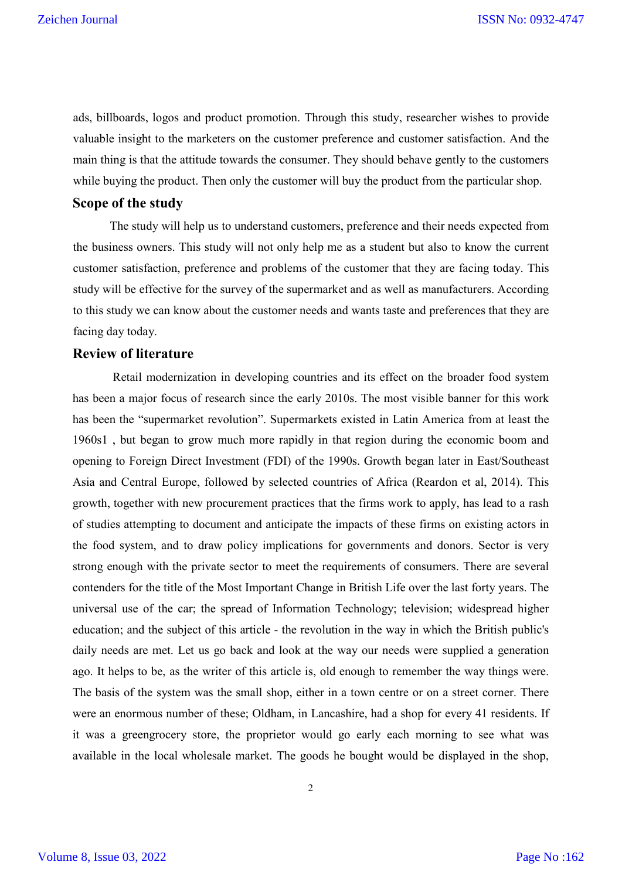ads, billboards, logos and product promotion. Through this study, researcher wishes to provide valuable insight to the marketers on the customer preference and customer satisfaction. And the main thing is that the attitude towards the consumer. They should behave gently to the customers while buying the product. Then only the customer will buy the product from the particular shop.

## **Scope of the study**

The study will help us to understand customers, preference and their needs expected from the business owners. This study will not only help me as a student but also to know the current customer satisfaction, preference and problems of the customer that they are facing today. This study will be effective for the survey of the supermarket and as well as manufacturers. According to this study we can know about the customer needs and wants taste and preferences that they are facing day today.

#### **Review of literature**

Retail modernization in developing countries and its effect on the broader food system has been a major focus of research since the early 2010s. The most visible banner for this work has been the "supermarket revolution". Supermarkets existed in Latin America from at least the 1960s1 , but began to grow much more rapidly in that region during the economic boom and opening to Foreign Direct Investment (FDI) of the 1990s. Growth began later in East/Southeast Asia and Central Europe, followed by selected countries of Africa (Reardon et al, 2014). This growth, together with new procurement practices that the firms work to apply, has lead to a rash of studies attempting to document and anticipate the impacts of these firms on existing actors in the food system, and to draw policy implications for governments and donors. Sector is very strong enough with the private sector to meet the requirements of consumers. There are several contenders for the title of the Most Important Change in British Life over the last forty years. The universal use of the car; the spread of Information Technology; television; widespread higher education; and the subject of this article - the revolution in the way in which the British public's daily needs are met. Let us go back and look at the way our needs were supplied a generation ago. It helps to be, as the writer of this article is, old enough to remember the way things were. The basis of the system was the small shop, either in a town centre or on a street corner. There were an enormous number of these; Oldham, in Lancashire, had a shop for every 41 residents. If it was a greengrocery store, the proprietor would go early each morning to see what was available in the local wholesale market. The goods he bought would be displayed in the shop,

2

Volume 8, Issue 03, 2022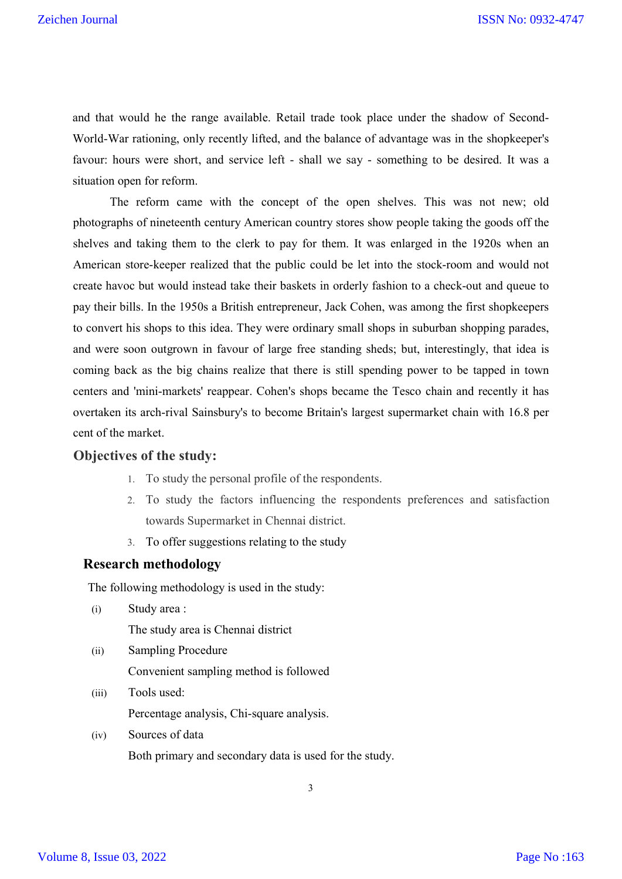and that would he the range available. Retail trade took place under the shadow of Second-World-War rationing, only recently lifted, and the balance of advantage was in the shopkeeper's favour: hours were short, and service left - shall we say - something to be desired. It was a situation open for reform.

The reform came with the concept of the open shelves. This was not new; old photographs of nineteenth century American country stores show people taking the goods off the shelves and taking them to the clerk to pay for them. It was enlarged in the 1920s when an American store-keeper realized that the public could be let into the stock-room and would not create havoc but would instead take their baskets in orderly fashion to a check-out and queue to pay their bills. In the 1950s a British entrepreneur, Jack Cohen, was among the first shopkeepers to convert his shops to this idea. They were ordinary small shops in suburban shopping parades, and were soon outgrown in favour of large free standing sheds; but, interestingly, that idea is coming back as the big chains realize that there is still spending power to be tapped in town centers and 'mini-markets' reappear. Cohen's shops became the Tesco chain and recently it has overtaken its arch-rival Sainsbury's to become Britain's largest supermarket chain with 16.8 per cent of the market.

#### **Objectives of the study:**

- 1. To study the personal profile of the respondents.
- 2. To study the factors influencing the respondents preferences and satisfaction towards Supermarket in Chennai district.
- 3. To offer suggestions relating to the study

### **Research methodology**

The following methodology is used in the study:

- (i) Study area : The study area is Chennai district
- (ii) Sampling Procedure Convenient sampling method is followed
- (iii) Tools used: Percentage analysis, Chi-square analysis.
- (iv) Sources of data Both primary and secondary data is used for the study.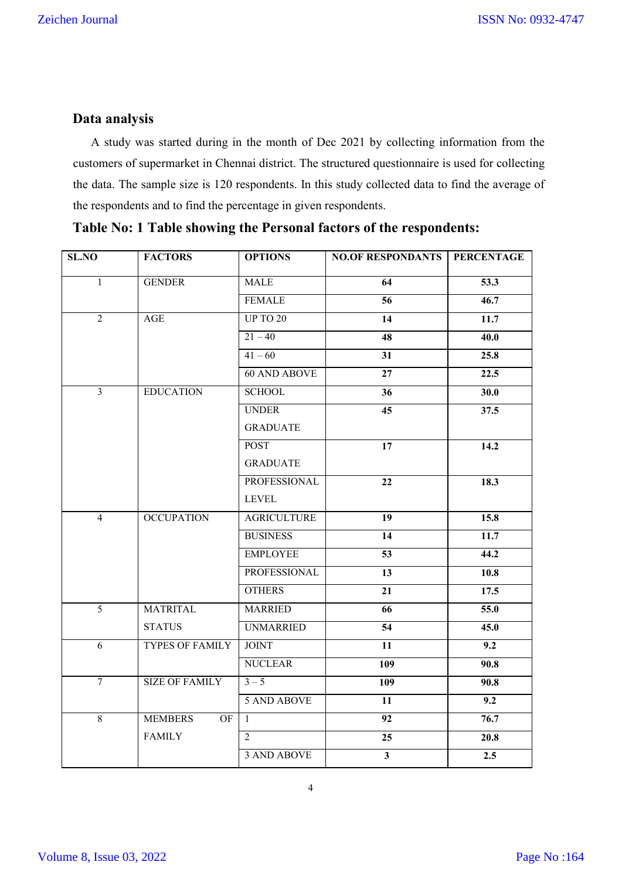## **Data analysis**

 A study was started during in the month of Dec 2021 by collecting information from the customers of supermarket in Chennai district. The structured questionnaire is used for collecting the data. The sample size is 120 respondents. In this study collected data to find the average of the respondents and to find the percentage in given respondents.

| SL.NO          | <b>FACTORS</b>         | <b>OPTIONS</b>      | <b>NO.OF RESPONDANTS</b> | <b>PERCENTAGE</b> |
|----------------|------------------------|---------------------|--------------------------|-------------------|
| 1              | <b>GENDER</b>          | <b>MALE</b>         | 64                       | 53.3              |
|                |                        | <b>FEMALE</b>       | 56                       | 46.7              |
| $\overline{2}$ | AGE                    | <b>UP TO 20</b>     | 14                       | 11.7              |
|                |                        | $21 - 40$           | 48                       | 40.0              |
|                |                        | $41 - 60$           | $\overline{31}$          | 25.8              |
|                |                        | <b>60 AND ABOVE</b> | 27                       | 22.5              |
| $\overline{3}$ | <b>EDUCATION</b>       | <b>SCHOOL</b>       | 36                       | 30.0              |
|                |                        | <b>UNDER</b>        | 45                       | 37.5              |
|                |                        | <b>GRADUATE</b>     |                          |                   |
|                |                        | <b>POST</b>         | 17                       | 14.2              |
|                |                        | <b>GRADUATE</b>     |                          |                   |
|                |                        | <b>PROFESSIONAL</b> | 22                       | 18.3              |
|                |                        | <b>LEVEL</b>        |                          |                   |
| $\overline{4}$ | <b>OCCUPATION</b>      | <b>AGRICULTURE</b>  | 19                       | 15.8              |
|                |                        | <b>BUSINESS</b>     | 14                       | $\overline{11.7}$ |
|                |                        | <b>EMPLOYEE</b>     | $\overline{53}$          | 44.2              |
|                |                        | <b>PROFESSIONAL</b> | 13                       | 10.8              |
|                |                        | <b>OTHERS</b>       | 21                       | 17.5              |
| $\overline{5}$ | <b>MATRITAL</b>        | <b>MARRIED</b>      | 66                       | $\overline{55.0}$ |
|                | <b>STATUS</b>          | <b>UNMARRIED</b>    | $\overline{54}$          | 45.0              |
| $\overline{6}$ | <b>TYPES OF FAMILY</b> | <b>JOINT</b>        | 11                       | 9.2               |
|                |                        | <b>NUCLEAR</b>      | 109                      | 90.8              |
| $\overline{7}$ | <b>SIZE OF FAMILY</b>  | $3 - 5$             | 109                      | 90.8              |
|                |                        | <b>5 AND ABOVE</b>  | $\overline{11}$          | $\overline{9.2}$  |
| $8\,$          | <b>MEMBERS</b><br>OF   | 1                   | 92                       | 76.7              |
|                | <b>FAMILY</b>          | $\mathfrak{D}$      | 25                       | 20.8              |
|                |                        | 3 AND ABOVE         | $\overline{\mathbf{3}}$  | 2.5               |

**Table No: 1 Table showing the Personal factors of the respondents:** 

4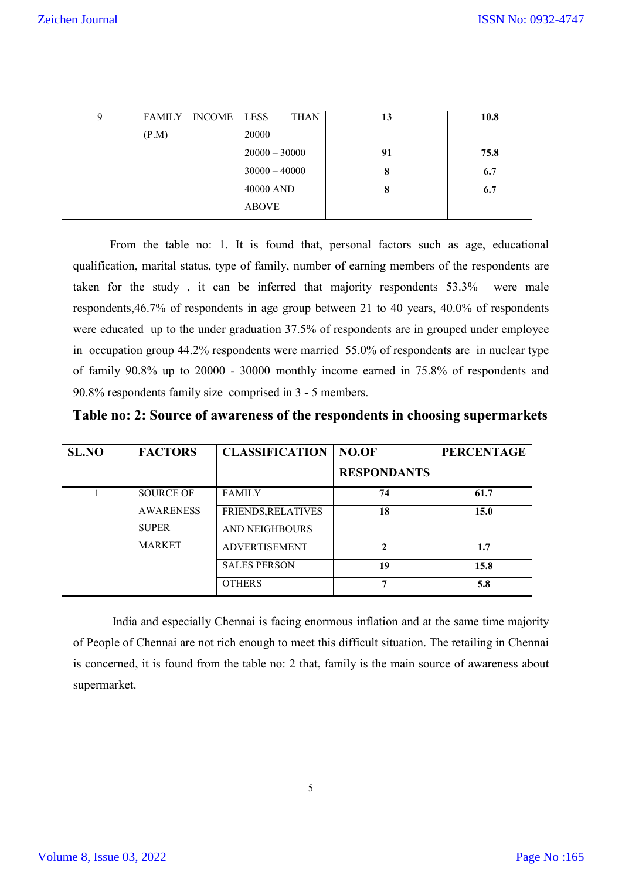| 9 |       | FAMILY INCOME   LESS |                 | <b>THAN</b> | 13 | 10.8 |
|---|-------|----------------------|-----------------|-------------|----|------|
|   | (P.M) |                      | 20000           |             |    |      |
|   |       |                      | $20000 - 30000$ |             | 91 | 75.8 |
|   |       |                      | $30000 - 40000$ |             |    | 6.7  |
|   |       |                      | 40000 AND       |             |    | 6.7  |
|   |       |                      | <b>ABOVE</b>    |             |    |      |

From the table no: 1. It is found that, personal factors such as age, educational qualification, marital status, type of family, number of earning members of the respondents are taken for the study , it can be inferred that majority respondents 53.3% were male respondents,46.7% of respondents in age group between 21 to 40 years, 40.0% of respondents were educated up to the under graduation 37.5% of respondents are in grouped under employee in occupation group 44.2% respondents were married 55.0% of respondents are in nuclear type of family 90.8% up to 20000 - 30000 monthly income earned in 75.8% of respondents and 90.8% respondents family size comprised in 3 - 5 members.

| Table no: 2: Source of awareness of the respondents in choosing supermarkets |  |  |
|------------------------------------------------------------------------------|--|--|
|                                                                              |  |  |
|                                                                              |  |  |
|                                                                              |  |  |

| <b>SL.NO</b> | <b>FACTORS</b>   | <b>CLASSIFICATION</b> | NO.OF              | <b>PERCENTAGE</b> |
|--------------|------------------|-----------------------|--------------------|-------------------|
|              |                  |                       | <b>RESPONDANTS</b> |                   |
|              | <b>SOURCE OF</b> | <b>FAMILY</b>         | 74                 | 61.7              |
|              | <b>AWARENESS</b> | FRIENDS, RELATIVES    | 18                 | 15.0              |
|              | <b>SUPER</b>     | <b>AND NEIGHBOURS</b> |                    |                   |
|              | <b>MARKET</b>    | <b>ADVERTISEMENT</b>  | $\mathfrak{D}$     | 1.7               |
|              |                  | <b>SALES PERSON</b>   | 19                 | 15.8              |
|              |                  | <b>OTHERS</b>         | 7                  | 5.8               |

India and especially Chennai is facing enormous inflation and at the same time majority of People of Chennai are not rich enough to meet this difficult situation. The retailing in Chennai is concerned, it is found from the table no: 2 that, family is the main source of awareness about supermarket.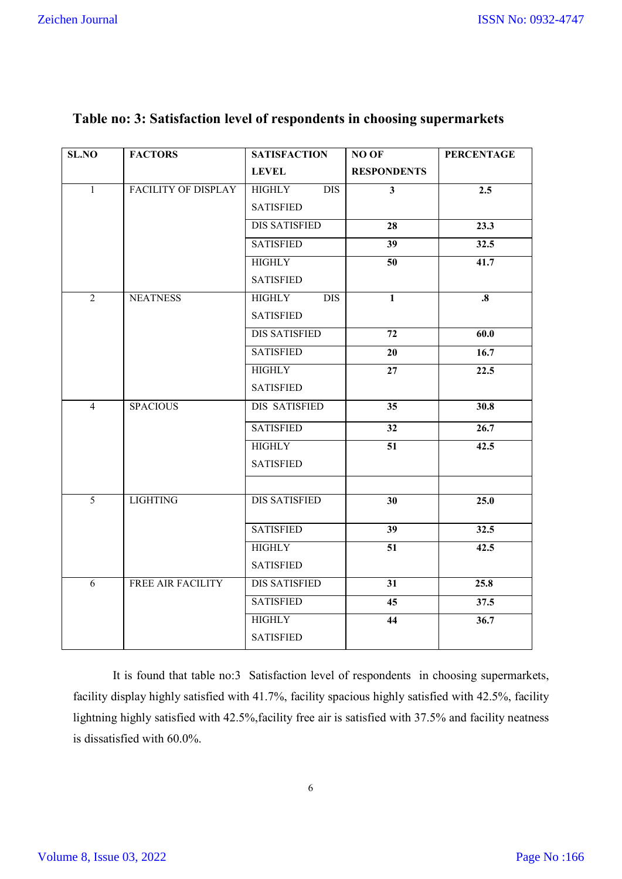| <b>SL.NO</b>   | <b>FACTORS</b>             | <b>SATISFACTION</b>               | NO OF                   | <b>PERCENTAGE</b> |
|----------------|----------------------------|-----------------------------------|-------------------------|-------------------|
|                |                            | <b>LEVEL</b>                      | <b>RESPONDENTS</b>      |                   |
| $\overline{1}$ | <b>FACILITY OF DISPLAY</b> | <b>HIGHLY</b><br>$\overline{DIS}$ | $\overline{\mathbf{3}}$ | 2.5               |
|                |                            | <b>SATISFIED</b>                  |                         |                   |
|                |                            | <b>DIS SATISFIED</b>              | 28                      | 23.3              |
|                |                            | <b>SATISFIED</b>                  | 39                      | 32.5              |
|                |                            | <b>HIGHLY</b>                     | 50                      | $\overline{41.7}$ |
|                |                            | <b>SATISFIED</b>                  |                         |                   |
| $\overline{2}$ | <b>NEATNESS</b>            | <b>HIGHLY</b><br><b>DIS</b>       | $\mathbf{1}$            | $\boldsymbol{.8}$ |
|                |                            | <b>SATISFIED</b>                  |                         |                   |
|                |                            | <b>DIS SATISFIED</b>              | 72                      | 60.0              |
|                |                            | <b>SATISFIED</b>                  | 20                      | 16.7              |
|                |                            | <b>HIGHLY</b>                     | 27                      | 22.5              |
|                |                            | <b>SATISFIED</b>                  |                         |                   |
| $\overline{4}$ | <b>SPACIOUS</b>            | DIS SATISFIED                     | 35                      | 30.8              |
|                |                            | <b>SATISFIED</b>                  | 32                      | 26.7              |
|                |                            | <b>HIGHLY</b>                     | 51                      | 42.5              |
|                |                            | <b>SATISFIED</b>                  |                         |                   |
|                |                            |                                   |                         |                   |
| $\overline{5}$ | <b>LIGHTING</b>            | <b>DIS SATISFIED</b>              | 30                      | 25.0              |
|                |                            | <b>SATISFIED</b>                  | 39                      | 32.5              |
|                |                            | <b>HIGHLY</b>                     | 51                      | 42.5              |
|                |                            | <b>SATISFIED</b>                  |                         |                   |
| 6              | FREE AIR FACILITY          | <b>DIS SATISFIED</b>              | 31                      | 25.8              |
|                |                            | <b>SATISFIED</b>                  | 45                      | 37.5              |
|                |                            | <b>HIGHLY</b>                     | 44                      | 36.7              |
|                |                            | <b>SATISFIED</b>                  |                         |                   |

# **Table no: 3: Satisfaction level of respondents in choosing supermarkets**

It is found that table no:3 Satisfaction level of respondents in choosing supermarkets, facility display highly satisfied with 41.7%, facility spacious highly satisfied with 42.5%, facility lightning highly satisfied with 42.5%,facility free air is satisfied with 37.5% and facility neatness is dissatisfied with 60.0%.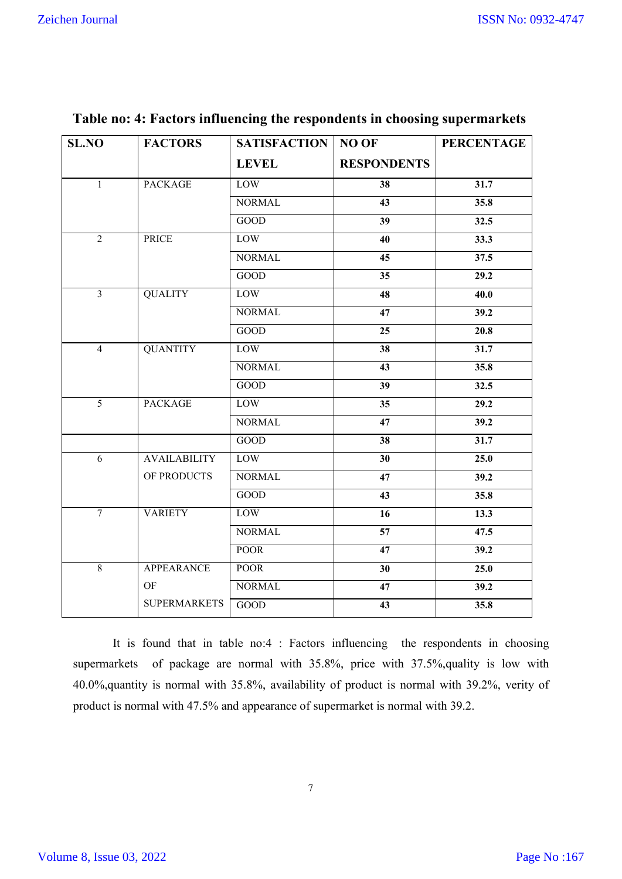| <b>SL.NO</b>   | <b>FACTORS</b>      | <b>SATISFACTION</b> | NO OF              | <b>PERCENTAGE</b> |
|----------------|---------------------|---------------------|--------------------|-------------------|
|                |                     | <b>LEVEL</b>        | <b>RESPONDENTS</b> |                   |
| $\mathbf{1}$   | <b>PACKAGE</b>      | LOW                 | 38                 | 31.7              |
|                |                     | <b>NORMAL</b>       | 43                 | 35.8              |
|                |                     | GOOD                | 39                 | 32.5              |
| $\overline{2}$ | <b>PRICE</b>        | LOW                 | 40                 | 33.3              |
|                |                     | <b>NORMAL</b>       | $\overline{45}$    | $\overline{37.5}$ |
|                |                     | GOOD                | 35                 | 29.2              |
| $\overline{3}$ | <b>QUALITY</b>      | LOW                 | 48                 | 40.0              |
|                |                     | <b>NORMAL</b>       | 47                 | 39.2              |
|                |                     | <b>GOOD</b>         | 25                 | 20.8              |
| $\overline{4}$ | <b>QUANTITY</b>     | <b>LOW</b>          | 38                 | 31.7              |
|                |                     | <b>NORMAL</b>       | 43                 | 35.8              |
|                |                     | <b>GOOD</b>         | $\overline{39}$    | 32.5              |
| $\overline{5}$ | <b>PACKAGE</b>      | LOW                 | 35                 | 29.2              |
|                |                     | <b>NORMAL</b>       | 47                 | 39.2              |
|                |                     | GOOD                | 38                 | 31.7              |
| $\overline{6}$ | <b>AVAILABILITY</b> | LOW                 | 30                 | 25.0              |
|                | OF PRODUCTS         | <b>NORMAL</b>       | 47                 | 39.2              |
|                |                     | GOOD                | $\overline{43}$    | 35.8              |
| $\overline{7}$ | <b>VARIETY</b>      | <b>LOW</b>          | $\overline{16}$    | $\overline{13.3}$ |
|                |                     | <b>NORMAL</b>       | $\overline{57}$    | 47.5              |
|                |                     | POOR                | $\overline{47}$    | $\frac{1}{39.2}$  |
| $\overline{8}$ | <b>APPEARANCE</b>   | <b>POOR</b>         | $\overline{30}$    | 25.0              |
|                | $\rm OF$            | <b>NORMAL</b>       | 47                 | 39.2              |
|                | <b>SUPERMARKETS</b> | GOOD                | 43                 | 35.8              |

# **Table no: 4: Factors influencing the respondents in choosing supermarkets**

It is found that in table no:4 : Factors influencing the respondents in choosing supermarkets of package are normal with 35.8%, price with 37.5%,quality is low with 40.0%,quantity is normal with 35.8%, availability of product is normal with 39.2%, verity of product is normal with 47.5% and appearance of supermarket is normal with 39.2.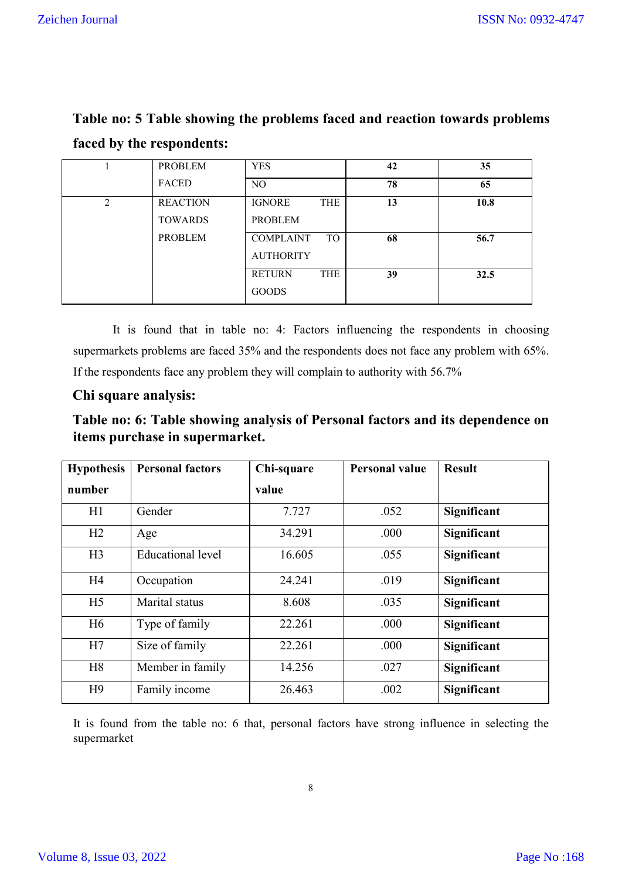| $\cdot$ |                 |                               |    |      |
|---------|-----------------|-------------------------------|----|------|
|         | PROBLEM         | <b>YES</b>                    | 42 | 35   |
|         | FACED           | NO.                           | 78 | 65   |
| າ       | <b>REACTION</b> | <b>THE</b><br><b>IGNORE</b>   | 13 | 10.8 |
|         | <b>TOWARDS</b>  | <b>PROBLEM</b>                |    |      |
|         | <b>PROBLEM</b>  | <b>TO</b><br><b>COMPLAINT</b> | 68 | 56.7 |
|         |                 | <b>AUTHORITY</b>              |    |      |
|         |                 | <b>THE</b><br><b>RETURN</b>   | 39 | 32.5 |
|         |                 | <b>GOODS</b>                  |    |      |

**Table no: 5 Table showing the problems faced and reaction towards problems faced by the respondents:** 

It is found that in table no: 4: Factors influencing the respondents in choosing supermarkets problems are faced 35% and the respondents does not face any problem with 65%. If the respondents face any problem they will complain to authority with 56.7%

# **Chi square analysis:**

| Table no: 6: Table showing analysis of Personal factors and its dependence on |  |
|-------------------------------------------------------------------------------|--|
| items purchase in supermarket.                                                |  |

| <b>Hypothesis</b> | <b>Personal factors</b>  | Chi-square | <b>Personal value</b> | <b>Result</b> |
|-------------------|--------------------------|------------|-----------------------|---------------|
| number            |                          | value      |                       |               |
| H1                | Gender                   | 7.727      | .052                  | Significant   |
| H2                | Age                      | 34.291     | .000                  | Significant   |
| H <sub>3</sub>    | <b>Educational level</b> | 16.605     | .055                  | Significant   |
| H <sub>4</sub>    | Occupation               | 24.241     | .019                  | Significant   |
| H <sub>5</sub>    | Marital status           | 8.608      | .035                  | Significant   |
| H <sub>6</sub>    | Type of family           | 22.261     | .000                  | Significant   |
| H7                | Size of family           | 22.261     | .000                  | Significant   |
| H <sub>8</sub>    | Member in family         | 14.256     | .027                  | Significant   |
| H <sup>9</sup>    | Family income            | 26.463     | .002                  | Significant   |

It is found from the table no: 6 that, personal factors have strong influence in selecting the supermarket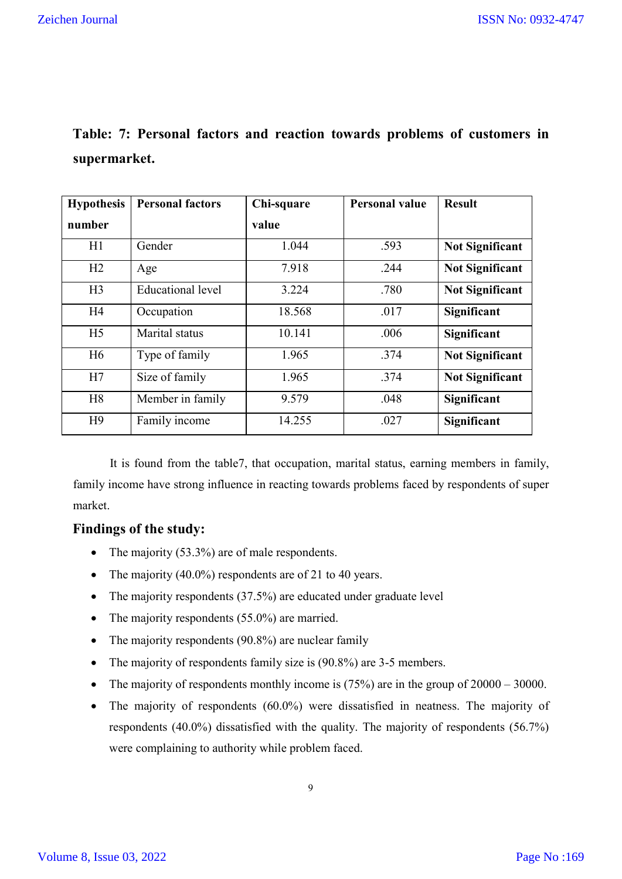|              |  |  |  |  | Table: 7: Personal factors and reaction towards problems of customers in |  |
|--------------|--|--|--|--|--------------------------------------------------------------------------|--|
| supermarket. |  |  |  |  |                                                                          |  |

| <b>Hypothesis</b> | <b>Personal factors</b>  | Chi-square | <b>Personal value</b> | <b>Result</b>          |
|-------------------|--------------------------|------------|-----------------------|------------------------|
| number            |                          | value      |                       |                        |
| H1                | Gender                   | 1.044      | .593                  | <b>Not Significant</b> |
| H2                | Age                      | 7.918      | .244                  | <b>Not Significant</b> |
| H <sub>3</sub>    | <b>Educational level</b> | 3.224      | .780                  | <b>Not Significant</b> |
| H4                | Occupation               | 18.568     | .017                  | Significant            |
| H <sub>5</sub>    | Marital status           | 10.141     | .006                  | Significant            |
| H <sub>6</sub>    | Type of family           | 1.965      | .374                  | <b>Not Significant</b> |
| H7                | Size of family           | 1.965      | .374                  | <b>Not Significant</b> |
| H <sub>8</sub>    | Member in family         | 9.579      | .048                  | <b>Significant</b>     |
| H9                | Family income            | 14.255     | .027                  | Significant            |

It is found from the table7, that occupation, marital status, earning members in family, family income have strong influence in reacting towards problems faced by respondents of super market.

### **Findings of the study:**

- The majority (53.3%) are of male respondents.
- The majority  $(40.0\%)$  respondents are of 21 to 40 years.
- The majority respondents (37.5%) are educated under graduate level
- The majority respondents (55.0%) are married.
- The majority respondents (90.8%) are nuclear family
- The majority of respondents family size is (90.8%) are 3-5 members.
- The majority of respondents monthly income is  $(75%)$  are in the group of  $20000 30000$ .
- The majority of respondents (60.0%) were dissatisfied in neatness. The majority of respondents (40.0%) dissatisfied with the quality. The majority of respondents (56.7%) were complaining to authority while problem faced.